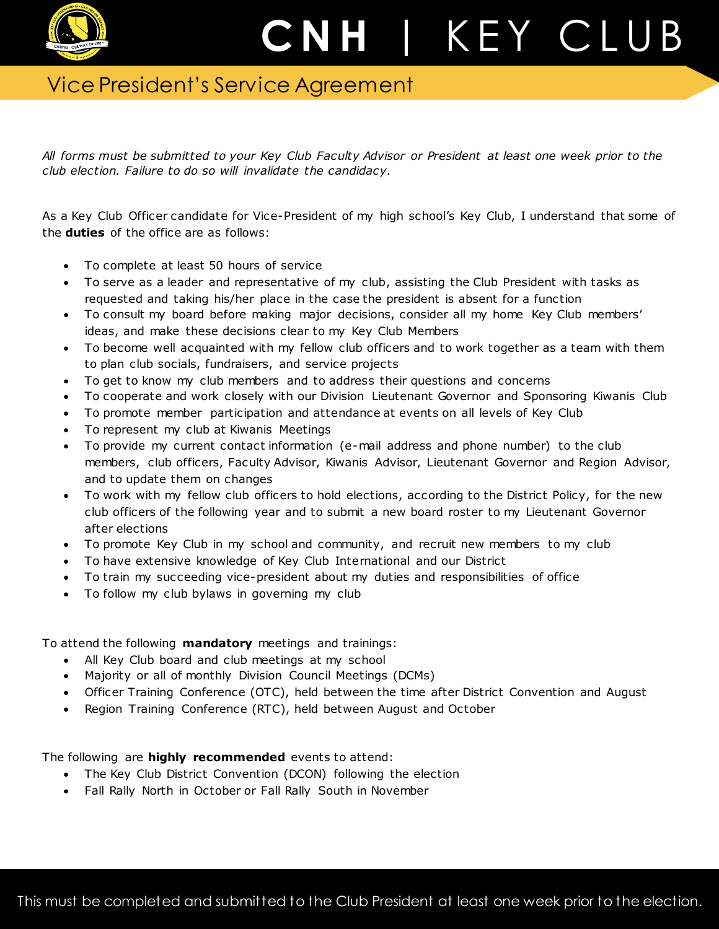

## C N H | K E Y C L U B

## Vice President's Service Agreement

*All forms must be submitted to your Key Club Faculty Advisor or President at least one week prior to the club election. Failure to do so will invalidate the candidacy.*

As a Key Club Officer candidate for Vice-President of my high school's Key Club, I understand that some of the **duties** of the office are as follows:

- To complete at least 50 hours of service
- To serve as a leader and representative of my club, assisting the Club President with tasks as requested and taking his/her place in the case the president is absent for a function
- To consult my board before making major decisions, consider all my home Key Club members' ideas, and make these decisions clear to my Key Club Members
- To become well acquainted with my fellow club officers and to work together as a team with them to plan club socials, fundraisers, and service projects
- To get to know my club members and to address their questions and concerns
- To cooperate and work closely with our Division Lieutenant Governor and Sponsoring Kiwanis Club
- To promote member participation and attendance at events on all levels of Key Club
- To represent my club at Kiwanis Meetings
- To provide my current contact information (e-mail address and phone number) to the club members, club officers, Faculty Advisor, Kiwanis Advisor, Lieutenant Governor and Region Advisor, and to update them on changes
- To work with my fellow club officers to hold elections, according to the District Policy, for the new club officers of the following year and to submit a new board roster to my Lieutenant Governor after elections
- To promote Key Club in my school and community, and recruit new members to my club
- To have extensive knowledge of Key Club International and our District
- To train my succeeding vice-president about my duties and responsibilities of office
- To follow my club bylaws in governing my club

To attend the following **mandatory** meetings and trainings:

- All Key Club board and club meetings at my school
- Majority or all of monthly Division Council Meetings (DCMs)
- Officer Training Conference (OTC), held between the time after District Convention and August
- Region Training Conference (RTC), held between August and October

The following are **highly recommended** events to attend:

- The Key Club District Convention (DCON) following the election
- Fall Rally North in October or Fall Rally South in November